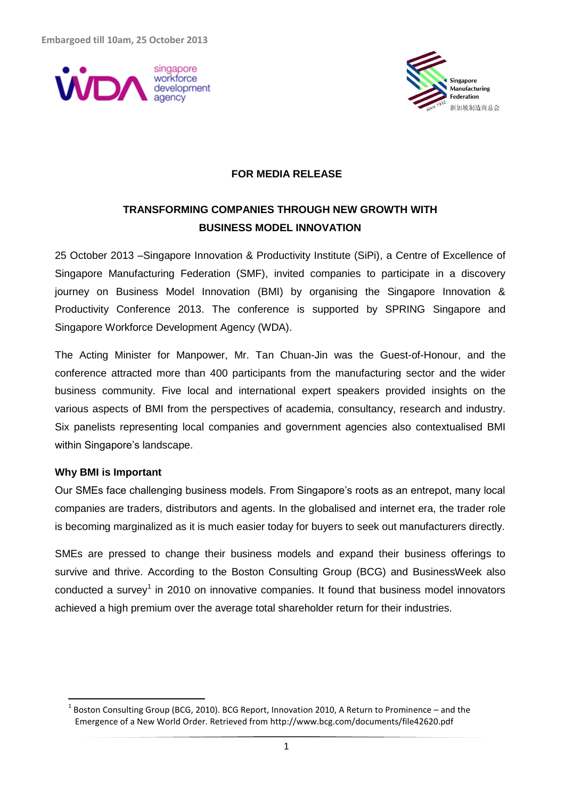



#### **FOR MEDIA RELEASE**

# **TRANSFORMING COMPANIES THROUGH NEW GROWTH WITH BUSINESS MODEL INNOVATION**

25 October 2013 –Singapore Innovation & Productivity Institute (SiPi), a Centre of Excellence of Singapore Manufacturing Federation (SMF), invited companies to participate in a discovery journey on Business Model Innovation (BMI) by organising the Singapore Innovation & Productivity Conference 2013. The conference is supported by SPRING Singapore and Singapore Workforce Development Agency (WDA).

The Acting Minister for Manpower, Mr. Tan Chuan-Jin was the Guest-of-Honour, and the conference attracted more than 400 participants from the manufacturing sector and the wider business community. Five local and international expert speakers provided insights on the various aspects of BMI from the perspectives of academia, consultancy, research and industry. Six panelists representing local companies and government agencies also contextualised BMI within Singapore's landscape.

#### **Why BMI is Important**

 $\overline{a}$ 

Our SMEs face challenging business models. From Singapore's roots as an entrepot, many local companies are traders, distributors and agents. In the globalised and internet era, the trader role is becoming marginalized as it is much easier today for buyers to seek out manufacturers directly.

SMEs are pressed to change their business models and expand their business offerings to survive and thrive. According to the Boston Consulting Group (BCG) and BusinessWeek also conducted a survey<sup>1</sup> in 2010 on innovative companies. It found that business model innovators achieved a high premium over the average total shareholder return for their industries.

 $^1$  Boston Consulting Group (BCG, 2010). BCG Report, Innovation 2010, A Return to Prominence – and the Emergence of a New World Order. Retrieved from http://www.bcg.com/documents/file42620.pdf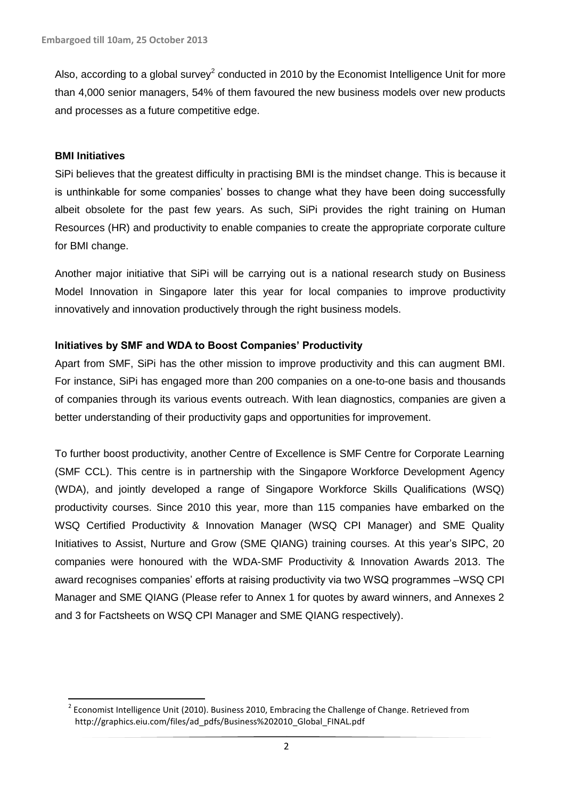Also, according to a global survey<sup>2</sup> conducted in 2010 by the Economist Intelligence Unit for more than 4,000 senior managers, 54% of them favoured the new business models over new products and processes as a future competitive edge.

#### **BMI Initiatives**

 $\overline{a}$ 

SiPi believes that the greatest difficulty in practising BMI is the mindset change. This is because it is unthinkable for some companies' bosses to change what they have been doing successfully albeit obsolete for the past few years. As such, SiPi provides the right training on Human Resources (HR) and productivity to enable companies to create the appropriate corporate culture for BMI change.

Another major initiative that SiPi will be carrying out is a national research study on Business Model Innovation in Singapore later this year for local companies to improve productivity innovatively and innovation productively through the right business models.

### **Initiatives by SMF and WDA to Boost Companies' Productivity**

Apart from SMF, SiPi has the other mission to improve productivity and this can augment BMI. For instance, SiPi has engaged more than 200 companies on a one-to-one basis and thousands of companies through its various events outreach. With lean diagnostics, companies are given a better understanding of their productivity gaps and opportunities for improvement.

To further boost productivity, another Centre of Excellence is SMF Centre for Corporate Learning (SMF CCL). This centre is in partnership with the Singapore Workforce Development Agency (WDA), and jointly developed a range of Singapore Workforce Skills Qualifications (WSQ) productivity courses. Since 2010 this year, more than 115 companies have embarked on the WSQ Certified Productivity & Innovation Manager (WSQ CPI Manager) and SME Quality Initiatives to Assist, Nurture and Grow (SME QIANG) training courses. At this year's SIPC, 20 companies were honoured with the WDA-SMF Productivity & Innovation Awards 2013. The award recognises companies' efforts at raising productivity via two WSQ programmes –WSQ CPI Manager and SME QIANG (Please refer to Annex 1 for quotes by award winners, and Annexes 2 and 3 for Factsheets on WSQ CPI Manager and SME QIANG respectively).

 $2$  Economist Intelligence Unit (2010). Business 2010, Embracing the Challenge of Change. Retrieved from http://graphics.eiu.com/files/ad\_pdfs/Business%202010\_Global\_FINAL.pdf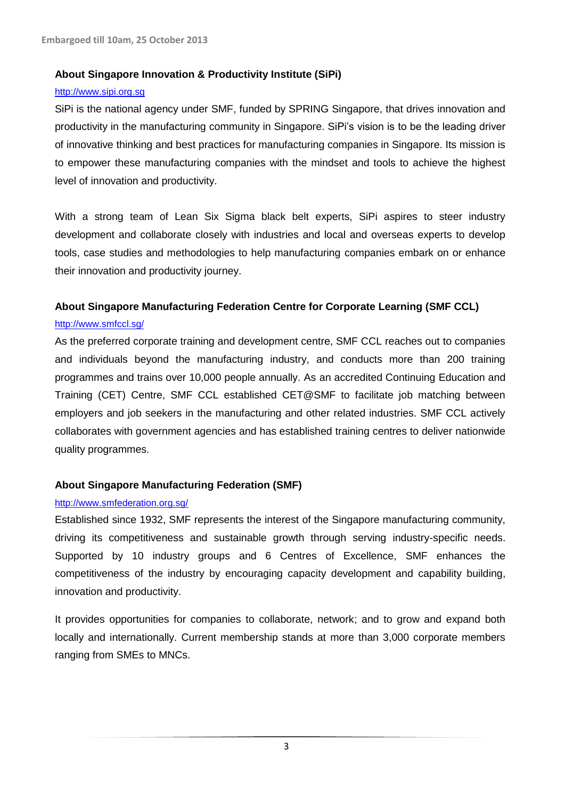### **About Singapore Innovation & Productivity Institute (SiPi)**

#### [http://www.sipi.org.sg](http://www.sipi.org.sg/)

SiPi is the national agency under SMF, funded by SPRING Singapore, that drives innovation and productivity in the manufacturing community in Singapore. SiPi's vision is to be the leading driver of innovative thinking and best practices for manufacturing companies in Singapore. Its mission is to empower these manufacturing companies with the mindset and tools to achieve the highest level of innovation and productivity.

With a strong team of Lean Six Sigma black belt experts, SiPi aspires to steer industry development and collaborate closely with industries and local and overseas experts to develop tools, case studies and methodologies to help manufacturing companies embark on or enhance their innovation and productivity journey.

# **About Singapore Manufacturing Federation Centre for Corporate Learning (SMF CCL)**

#### [http://www.smfccl.sg/](http://www.smfccl.sg/index.php/about/about-sma-centre-for-corporate-learning)

As the preferred corporate training and development centre, SMF CCL reaches out to companies and individuals beyond the manufacturing industry, and conducts more than 200 training programmes and trains over 10,000 people annually. As an accredited Continuing Education and Training (CET) Centre, SMF CCL established CET@SMF to facilitate job matching between employers and job seekers in the manufacturing and other related industries. SMF CCL actively collaborates with government agencies and has established training centres to deliver nationwide quality programmes.

### **About Singapore Manufacturing Federation (SMF)**

#### <http://www.smfederation.org.sg/>

Established since 1932, SMF represents the interest of the Singapore manufacturing community, driving its competitiveness and sustainable growth through serving industry-specific needs. Supported by 10 industry groups and 6 Centres of Excellence, SMF enhances the competitiveness of the industry by encouraging capacity development and capability building, innovation and productivity.

It provides opportunities for companies to collaborate, network; and to grow and expand both locally and internationally. Current membership stands at more than 3,000 corporate members ranging from SMEs to MNCs.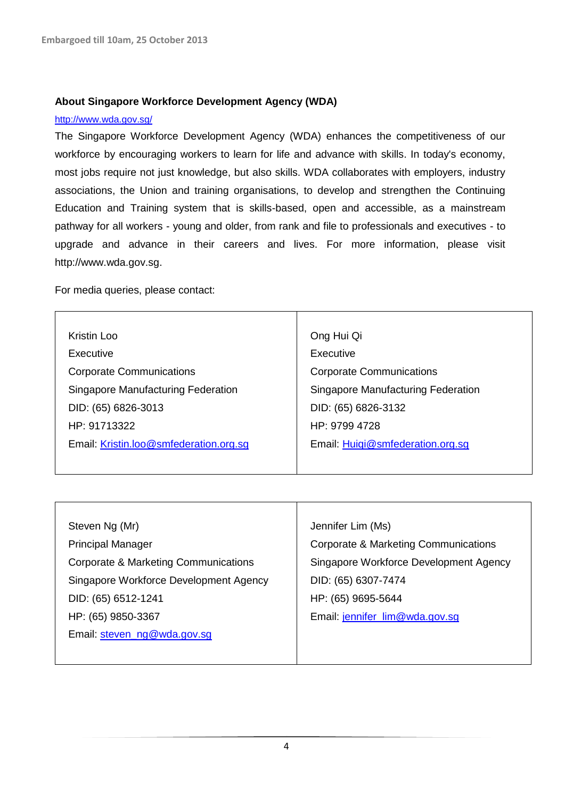#### **About Singapore Workforce Development Agency (WDA)**

#### <http://www.wda.gov.sg/>

The Singapore Workforce Development Agency (WDA) enhances the competitiveness of our workforce by encouraging workers to learn for life and advance with skills. In today's economy, most jobs require not just knowledge, but also skills. WDA collaborates with employers, industry associations, the Union and training organisations, to develop and strengthen the Continuing Education and Training system that is skills-based, open and accessible, as a mainstream pathway for all workers - young and older, from rank and file to professionals and executives - to upgrade and advance in their careers and lives. For more information, please visit http://www.wda.gov.sg.

For media queries, please contact:

| Kristin Loo                            | Ong Hui Qi                         |
|----------------------------------------|------------------------------------|
| Executive                              | Executive                          |
| <b>Corporate Communications</b>        | <b>Corporate Communications</b>    |
| Singapore Manufacturing Federation     | Singapore Manufacturing Federation |
| DID: (65) 6826-3013                    | DID: (65) 6826-3132                |
| HP: 91713322                           | HP: 9799 4728                      |
| Email: Kristin.loo@smfederation.org.sg | Email: Huigi@smfederation.org.sg   |
|                                        |                                    |

| Steven Ng (Mr)                         | Jennifer Lim (Ms)                               |
|----------------------------------------|-------------------------------------------------|
| <b>Principal Manager</b>               | <b>Corporate &amp; Marketing Communications</b> |
| Corporate & Marketing Communications   | Singapore Workforce Development Agency          |
| Singapore Workforce Development Agency | DID: (65) 6307-7474                             |
| DID: (65) 6512-1241                    | HP: (65) 9695-5644                              |
| HP: (65) 9850-3367                     | Email: jennifer_lim@wda.gov.sg                  |
| Email: steven ng@wda.gov.sq            |                                                 |
|                                        |                                                 |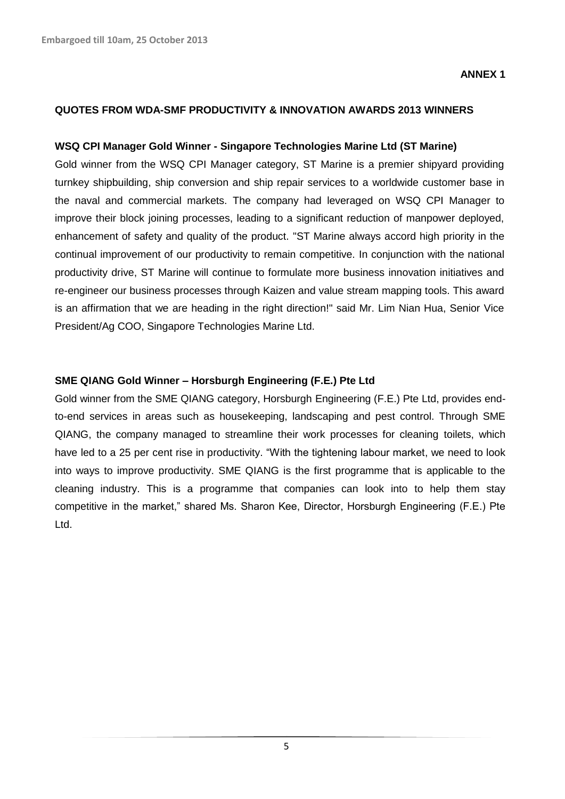#### **QUOTES FROM WDA-SMF PRODUCTIVITY & INNOVATION AWARDS 2013 WINNERS**

#### **WSQ CPI Manager Gold Winner - Singapore Technologies Marine Ltd (ST Marine)**

Gold winner from the WSQ CPI Manager category, ST Marine is a premier shipyard providing turnkey shipbuilding, ship conversion and ship repair services to a worldwide customer base in the naval and commercial markets. The company had leveraged on WSQ CPI Manager to improve their block joining processes, leading to a significant reduction of manpower deployed, enhancement of safety and quality of the product. "ST Marine always accord high priority in the continual improvement of our productivity to remain competitive. In conjunction with the national productivity drive, ST Marine will continue to formulate more business innovation initiatives and re-engineer our business processes through Kaizen and value stream mapping tools. This award is an affirmation that we are heading in the right direction!" said Mr. Lim Nian Hua, Senior Vice President/Ag COO, Singapore Technologies Marine Ltd.

#### **SME QIANG Gold Winner – Horsburgh Engineering (F.E.) Pte Ltd**

Gold winner from the SME QIANG category, Horsburgh Engineering (F.E.) Pte Ltd, provides endto-end services in areas such as housekeeping, landscaping and pest control. Through SME QIANG, the company managed to streamline their work processes for cleaning toilets, which have led to a 25 per cent rise in productivity. "With the tightening labour market, we need to look into ways to improve productivity. SME QIANG is the first programme that is applicable to the cleaning industry. This is a programme that companies can look into to help them stay competitive in the market," shared Ms. Sharon Kee, Director, Horsburgh Engineering (F.E.) Pte Ltd.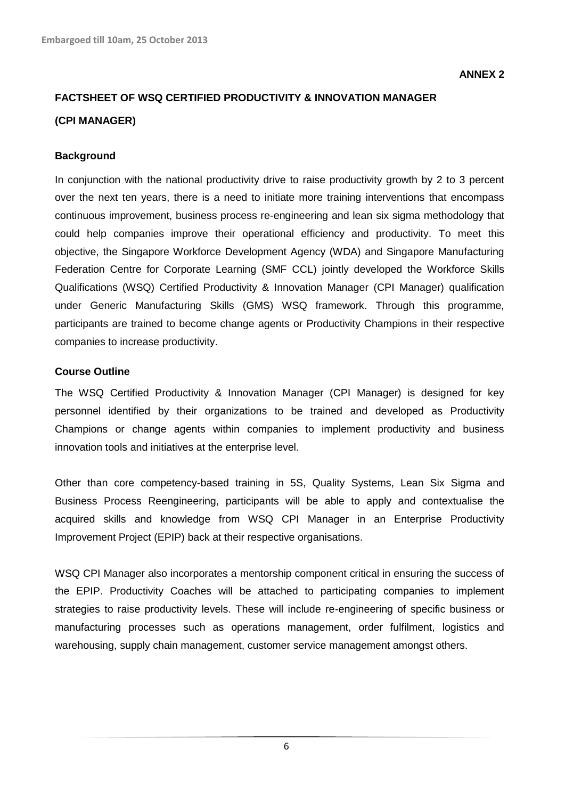# **FACTSHEET OF WSQ CERTIFIED PRODUCTIVITY & INNOVATION MANAGER (CPI MANAGER)**

#### **Background**

In conjunction with the national productivity drive to raise productivity growth by 2 to 3 percent over the next ten years, there is a need to initiate more training interventions that encompass continuous improvement, business process re-engineering and lean six sigma methodology that could help companies improve their operational efficiency and productivity. To meet this objective, the Singapore Workforce Development Agency (WDA) and Singapore Manufacturing Federation Centre for Corporate Learning (SMF CCL) jointly developed the Workforce Skills Qualifications (WSQ) Certified Productivity & Innovation Manager (CPI Manager) qualification under Generic Manufacturing Skills (GMS) WSQ framework. Through this programme, participants are trained to become change agents or Productivity Champions in their respective companies to increase productivity.

#### **Course Outline**

The WSQ Certified Productivity & Innovation Manager (CPI Manager) is designed for key personnel identified by their organizations to be trained and developed as Productivity Champions or change agents within companies to implement productivity and business innovation tools and initiatives at the enterprise level.

Other than core competency-based training in 5S, Quality Systems, Lean Six Sigma and Business Process Reengineering, participants will be able to apply and contextualise the acquired skills and knowledge from WSQ CPI Manager in an Enterprise Productivity Improvement Project (EPIP) back at their respective organisations.

WSQ CPI Manager also incorporates a mentorship component critical in ensuring the success of the EPIP. Productivity Coaches will be attached to participating companies to implement strategies to raise productivity levels. These will include re-engineering of specific business or manufacturing processes such as operations management, order fulfilment, logistics and warehousing, supply chain management, customer service management amongst others.

6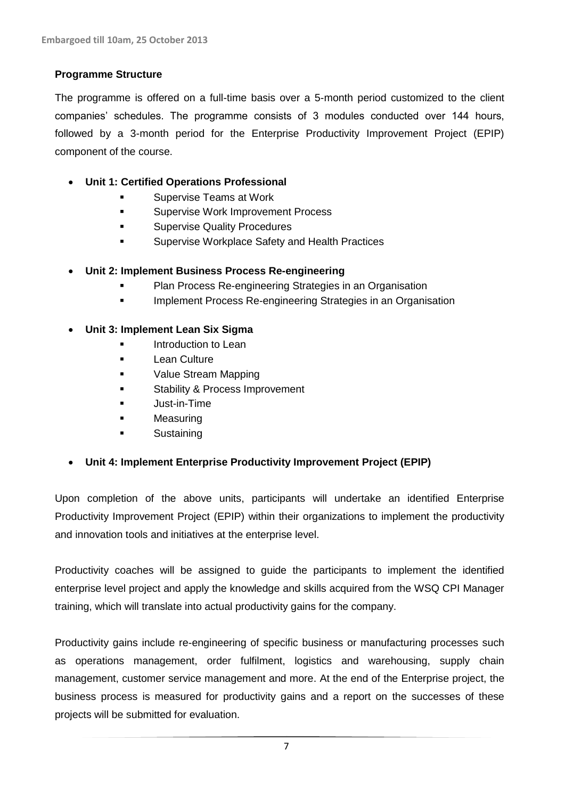### **Programme Structure**

The programme is offered on a full-time basis over a 5-month period customized to the client companies' schedules. The programme consists of 3 modules conducted over 144 hours, followed by a 3-month period for the Enterprise Productivity Improvement Project (EPIP) component of the course.

# **Unit 1: Certified Operations Professional**

- Supervise Teams at Work
- **Supervise Work Improvement Process**
- **Example 25 Supervise Quality Procedures**
- **EXECUTE:** Supervise Workplace Safety and Health Practices

# **Unit 2: Implement Business Process Re-engineering**

- Plan Process Re-engineering Strategies in an Organisation
- Implement Process Re-engineering Strategies in an Organisation

### **Unit 3: Implement Lean Six Sigma**

- Introduction to Lean
- **Lean Culture**
- Value Stream Mapping
- **Stability & Process Improvement**
- **Just-in-Time**
- **Measuring**
- **Sustaining**

# **Unit 4: Implement Enterprise Productivity Improvement Project (EPIP)**

Upon completion of the above units, participants will undertake an identified Enterprise Productivity Improvement Project (EPIP) within their organizations to implement the productivity and innovation tools and initiatives at the enterprise level.

Productivity coaches will be assigned to guide the participants to implement the identified enterprise level project and apply the knowledge and skills acquired from the WSQ CPI Manager training, which will translate into actual productivity gains for the company.

Productivity gains include re-engineering of specific business or manufacturing processes such as operations management, order fulfilment, logistics and warehousing, supply chain management, customer service management and more. At the end of the Enterprise project, the business process is measured for productivity gains and a report on the successes of these projects will be submitted for evaluation.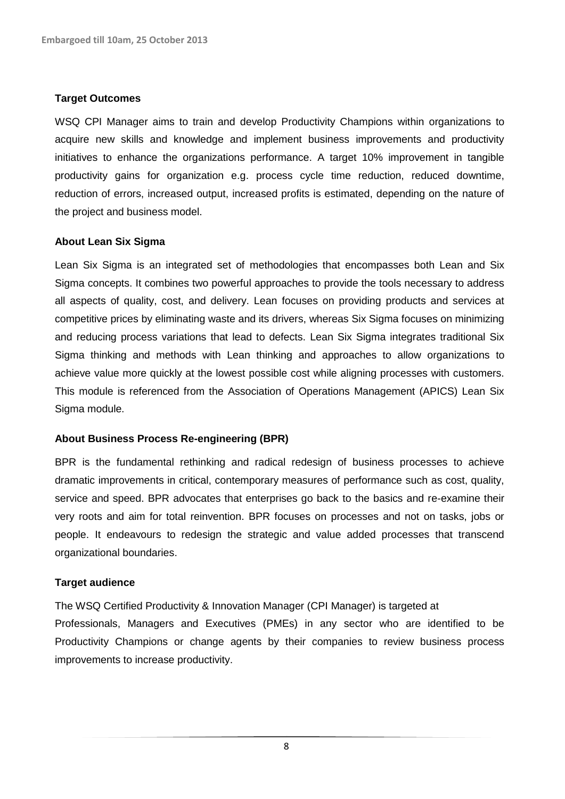#### **Target Outcomes**

WSQ CPI Manager aims to train and develop Productivity Champions within organizations to acquire new skills and knowledge and implement business improvements and productivity initiatives to enhance the organizations performance. A target 10% improvement in tangible productivity gains for organization e.g. process cycle time reduction, reduced downtime, reduction of errors, increased output, increased profits is estimated, depending on the nature of the project and business model.

#### **About Lean Six Sigma**

Lean Six Sigma is an integrated set of methodologies that encompasses both Lean and Six Sigma concepts. It combines two powerful approaches to provide the tools necessary to address all aspects of quality, cost, and delivery. Lean focuses on providing products and services at competitive prices by eliminating waste and its drivers, whereas Six Sigma focuses on minimizing and reducing process variations that lead to defects. Lean Six Sigma integrates traditional Six Sigma thinking and methods with Lean thinking and approaches to allow organizations to achieve value more quickly at the lowest possible cost while aligning processes with customers. This module is referenced from the Association of Operations Management (APICS) Lean Six Sigma module.

#### **About Business Process Re-engineering (BPR)**

BPR is the fundamental rethinking and radical redesign of business processes to achieve dramatic improvements in critical, contemporary measures of performance such as cost, quality, service and speed. BPR advocates that enterprises go back to the basics and re-examine their very roots and aim for total reinvention. BPR focuses on processes and not on tasks, jobs or people. It endeavours to redesign the strategic and value added processes that transcend organizational boundaries.

### **Target audience**

The WSQ Certified Productivity & Innovation Manager (CPI Manager) is targeted at Professionals, Managers and Executives (PMEs) in any sector who are identified to be Productivity Champions or change agents by their companies to review business process improvements to increase productivity.

8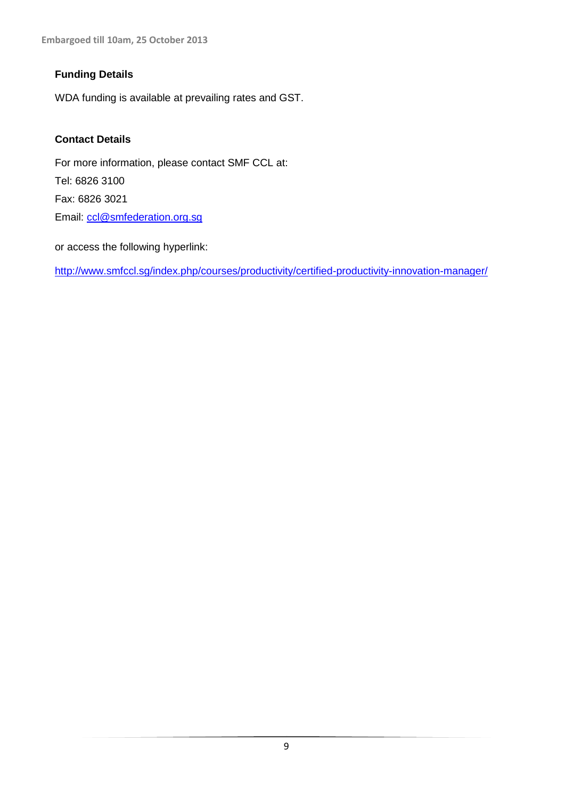**Embargoed till 10am, 25 October 2013**

# **Funding Details**

WDA funding is available at prevailing rates and GST.

# **Contact Details**

For more information, please contact SMF CCL at: Tel: 6826 3100 Fax: 6826 3021 Email: [ccl@smfederation.org.sg](mailto:ccl@smfederation.org.sg)

or access the following hyperlink:

<http://www.smfccl.sg/index.php/courses/productivity/certified-productivity-innovation-manager/>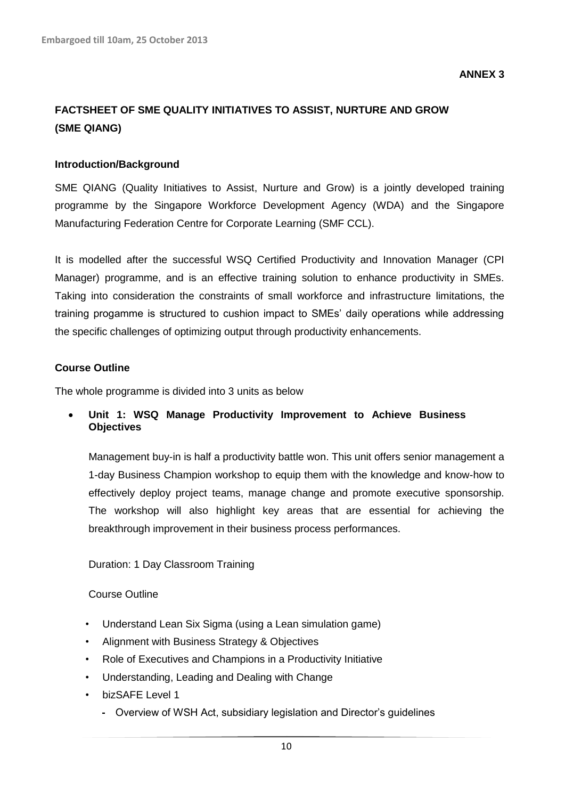**ANNEX 3**

# **FACTSHEET OF SME QUALITY INITIATIVES TO ASSIST, NURTURE AND GROW (SME QIANG)**

### **Introduction/Background**

SME QIANG (Quality Initiatives to Assist, Nurture and Grow) is a jointly developed training programme by the Singapore Workforce Development Agency (WDA) and the Singapore Manufacturing Federation Centre for Corporate Learning (SMF CCL).

It is modelled after the successful WSQ Certified Productivity and Innovation Manager (CPI Manager) programme, and is an effective training solution to enhance productivity in SMEs. Taking into consideration the constraints of small workforce and infrastructure limitations, the training progamme is structured to cushion impact to SMEs' daily operations while addressing the specific challenges of optimizing output through productivity enhancements.

#### **Course Outline**

The whole programme is divided into 3 units as below

 **Unit 1: WSQ Manage Productivity Improvement to Achieve Business Objectives**

Management buy-in is half a productivity battle won. This unit offers senior management a 1-day Business Champion workshop to equip them with the knowledge and know-how to effectively deploy project teams, manage change and promote executive sponsorship. The workshop will also highlight key areas that are essential for achieving the breakthrough improvement in their business process performances.

### Duration: 1 Day Classroom Training

#### Course Outline

- Understand Lean Six Sigma (using a Lean simulation game)
- Alignment with Business Strategy & Objectives
- Role of Executives and Champions in a Productivity Initiative
- Understanding, Leading and Dealing with Change
- bizSAFE Level 1
	- **-** Overview of WSH Act, subsidiary legislation and Director's guidelines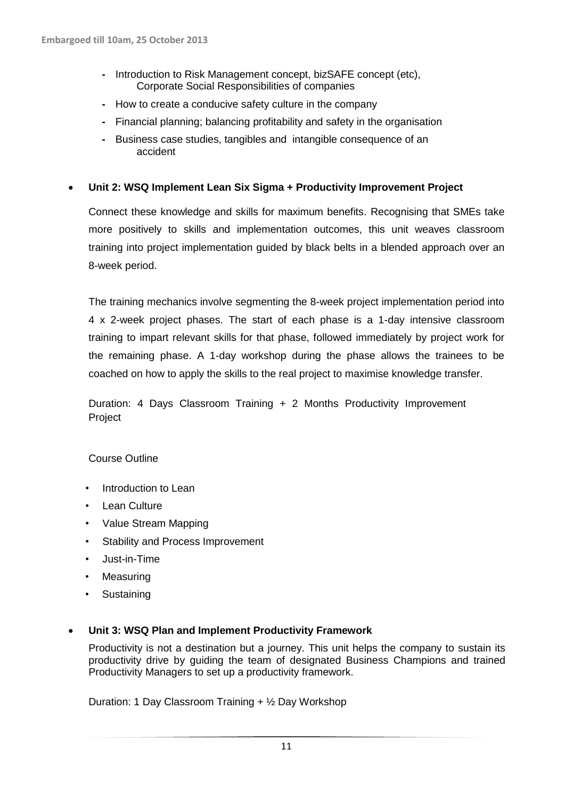- **-** Introduction to Risk Management concept, bizSAFE concept (etc), Corporate Social Responsibilities of companies
- **-** How to create a conducive safety culture in the company
- **-** Financial planning; balancing profitability and safety in the organisation
- **-** Business case studies, tangibles and intangible consequence of an accident

### **Unit 2: WSQ Implement Lean Six Sigma + Productivity Improvement Project**

Connect these knowledge and skills for maximum benefits. Recognising that SMEs take more positively to skills and implementation outcomes, this unit weaves classroom training into project implementation guided by black belts in a blended approach over an 8-week period.

The training mechanics involve segmenting the 8-week project implementation period into 4 x 2-week project phases. The start of each phase is a 1-day intensive classroom training to impart relevant skills for that phase, followed immediately by project work for the remaining phase. A 1-day workshop during the phase allows the trainees to be coached on how to apply the skills to the real project to maximise knowledge transfer.

Duration: 4 Days Classroom Training + 2 Months Productivity Improvement Project

### Course Outline

- Introduction to Lean
- Lean Culture
- Value Stream Mapping
- Stability and Process Improvement
- Just-in-Time
- Measuring
- **Sustaining**

#### **Unit 3: WSQ Plan and Implement Productivity Framework**

Productivity is not a destination but a journey. This unit helps the company to sustain its productivity drive by guiding the team of designated Business Champions and trained Productivity Managers to set up a productivity framework.

Duration: 1 Day Classroom Training + ½ Day Workshop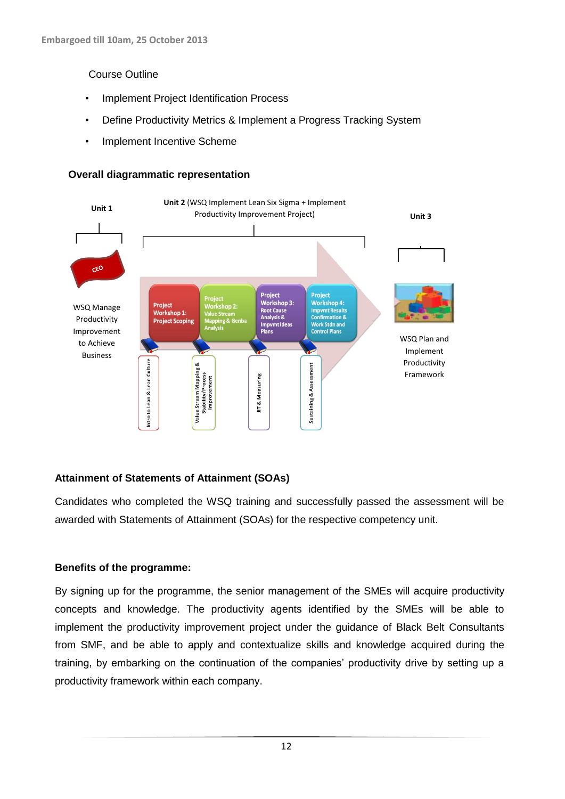### Course Outline

- Implement Project Identification Process
- Define Productivity Metrics & Implement a Progress Tracking System
- Implement Incentive Scheme

### **Overall diagrammatic representation**



# **Attainment of Statements of Attainment (SOAs)**

Candidates who completed the WSQ training and successfully passed the assessment will be awarded with Statements of Attainment (SOAs) for the respective competency unit.

# **Benefits of the programme:**

By signing up for the programme, the senior management of the SMEs will acquire productivity concepts and knowledge. The productivity agents identified by the SMEs will be able to implement the productivity improvement project under the guidance of Black Belt Consultants from SMF, and be able to apply and contextualize skills and knowledge acquired during the training, by embarking on the continuation of the companies' productivity drive by setting up a productivity framework within each company.